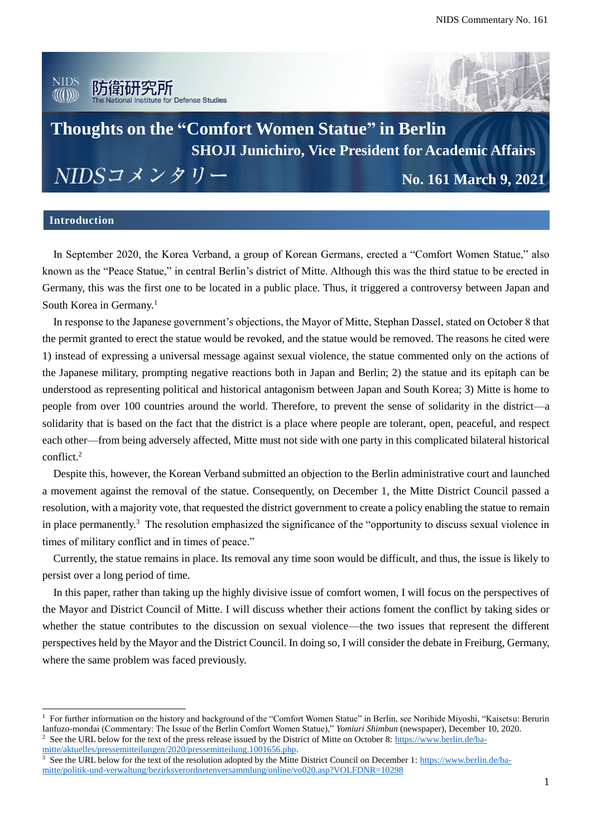

## **Thoughts on the "Comfort Women Statue" in Berlin SHOJI Junichiro, Vice President for Academic Affairs** NIDSコメンタリー **No. 161 March 9, 2021**

## **Introduction**

 $\overline{a}$ 

In September 2020, the Korea Verband, a group of Korean Germans, erected a "Comfort Women Statue," also known as the "Peace Statue," in central Berlin's district of Mitte. Although this was the third statue to be erected in Germany, this was the first one to be located in a public place. Thus, it triggered a controversy between Japan and South Korea in Germany.<sup>1</sup>

In response to the Japanese government's objections, the Mayor of Mitte, Stephan Dassel, stated on October 8 that the permit granted to erect the statue would be revoked, and the statue would be removed. The reasons he cited were 1) instead of expressing a universal message against sexual violence, the statue commented only on the actions of the Japanese military, prompting negative reactions both in Japan and Berlin; 2) the statue and its epitaph can be understood as representing political and historical antagonism between Japan and South Korea; 3) Mitte is home to people from over 100 countries around the world. Therefore, to prevent the sense of solidarity in the district—a solidarity that is based on the fact that the district is a place where people are tolerant, open, peaceful, and respect each other—from being adversely affected, Mitte must not side with one party in this complicated bilateral historical conflict.<sup>2</sup>

Despite this, however, the Korean Verband submitted an objection to the Berlin administrative court and launched a movement against the removal of the statue. Consequently, on December 1, the Mitte District Council passed a resolution, with a majority vote, that requested the district government to create a policy enabling the statue to remain in place permanently.<sup>3</sup> The resolution emphasized the significance of the "opportunity to discuss sexual violence in times of military conflict and in times of peace."

Currently, the statue remains in place. Its removal any time soon would be difficult, and thus, the issue is likely to persist over a long period of time.

In this paper, rather than taking up the highly divisive issue of comfort women, I will focus on the perspectives of the Mayor and District Council of Mitte. I will discuss whether their actions foment the conflict by taking sides or whether the statue contributes to the discussion on sexual violence—the two issues that represent the different perspectives held by the Mayor and the District Council. In doing so, I will consider the debate in Freiburg, Germany, where the same problem was faced previously.

<sup>2</sup> See the URL below for the text of the press release issued by the District of Mitte on October 8: [https://www.berlin.de/ba](https://www.berlin.de/ba-mitte/aktuelles/pressemitteilungen/2020/pressemitteilung.1001656.php)[mitte/aktuelles/pressemitteilungen/2020/pressemitteilung.1001656.php.](https://www.berlin.de/ba-mitte/aktuelles/pressemitteilungen/2020/pressemitteilung.1001656.php)

<sup>&</sup>lt;sup>1</sup> For further information on the history and background of the "Comfort Women Statue" in Berlin, see Norihide Miyoshi, "Kaisetsu: Berurin Ianfuzo-mondai (Commentary: The Issue of the Berlin Comfort Women Statue)," *Yomiuri Shimbun* (newspaper), December 10, 2020.

See the URL below for the text of the resolution adopted by the Mitte District Council on December 1: [https://www.berlin.de/ba](https://www.berlin.de/ba-mitte/politik-und-verwaltung/bezirksverordnetenversammlung/online/vo020.asp?VOLFDNR=10298)[mitte/politik-und-verwaltung/bezirksverordnetenversammlung/online/vo020.asp?VOLFDNR=10298](https://www.berlin.de/ba-mitte/politik-und-verwaltung/bezirksverordnetenversammlung/online/vo020.asp?VOLFDNR=10298)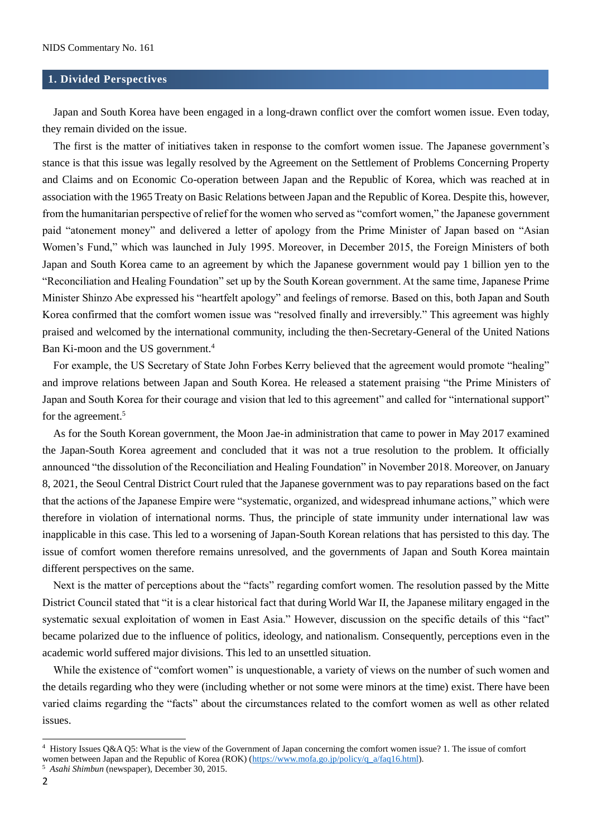#### **1. Divided Perspectives**

Japan and South Korea have been engaged in a long-drawn conflict over the comfort women issue. Even today, they remain divided on the issue.

The first is the matter of initiatives taken in response to the comfort women issue. The Japanese government's stance is that this issue was legally resolved by the Agreement on the Settlement of Problems Concerning Property and Claims and on Economic Co-operation between Japan and the Republic of Korea, which was reached at in association with the 1965 Treaty on Basic Relations between Japan and the Republic of Korea. Despite this, however, from the humanitarian perspective of relief for the women who served as "comfort women," the Japanese government paid "atonement money" and delivered a letter of apology from the Prime Minister of Japan based on "Asian Women's Fund," which was launched in July 1995. Moreover, in December 2015, the Foreign Ministers of both Japan and South Korea came to an agreement by which the Japanese government would pay 1 billion yen to the "Reconciliation and Healing Foundation" set up by the South Korean government. At the same time, Japanese Prime Minister Shinzo Abe expressed his "heartfelt apology" and feelings of remorse. Based on this, both Japan and South Korea confirmed that the comfort women issue was "resolved finally and irreversibly." This agreement was highly praised and welcomed by the international community, including the then-Secretary-General of the United Nations Ban Ki-moon and the US government.<sup>4</sup>

For example, the US Secretary of State John Forbes Kerry believed that the agreement would promote "healing" and improve relations between Japan and South Korea. He released a statement praising "the Prime Ministers of Japan and South Korea for their courage and vision that led to this agreement" and called for "international support" for the agreement.<sup>5</sup>

 As for the South Korean government, the Moon Jae-in administration that came to power in May 2017 examined the Japan-South Korea agreement and concluded that it was not a true resolution to the problem. It officially announced "the dissolution of the Reconciliation and Healing Foundation" in November 2018. Moreover, on January 8, 2021, the Seoul Central District Court ruled that the Japanese government was to pay reparations based on the fact that the actions of the Japanese Empire were "systematic, organized, and widespread inhumane actions," which were therefore in violation of international norms. Thus, the principle of state immunity under international law was inapplicable in this case. This led to a worsening of Japan-South Korean relations that has persisted to this day. The issue of comfort women therefore remains unresolved, and the governments of Japan and South Korea maintain different perspectives on the same.

Next is the matter of perceptions about the "facts" regarding comfort women. The resolution passed by the Mitte District Council stated that "it is a clear historical fact that during World War II, the Japanese military engaged in the systematic sexual exploitation of women in East Asia." However, discussion on the specific details of this "fact" became polarized due to the influence of politics, ideology, and nationalism. Consequently, perceptions even in the academic world suffered major divisions. This led to an unsettled situation.

While the existence of "comfort women" is unquestionable, a variety of views on the number of such women and the details regarding who they were (including whether or not some were minors at the time) exist. There have been varied claims regarding the "facts" about the circumstances related to the comfort women as well as other related issues.

<sup>4</sup> History Issues Q&A Q5: What is the view of the Government of Japan concerning the comfort women issue? 1. The issue of comfort women between Japan and the Republic of Korea (ROK) [\(https://www.mofa.go.jp/policy/q\\_a/faq16.html\)](https://www.mofa.go.jp/policy/q_a/faq16.html).

<sup>5</sup> *Asahi Shimbun* (newspaper), December 30, 2015.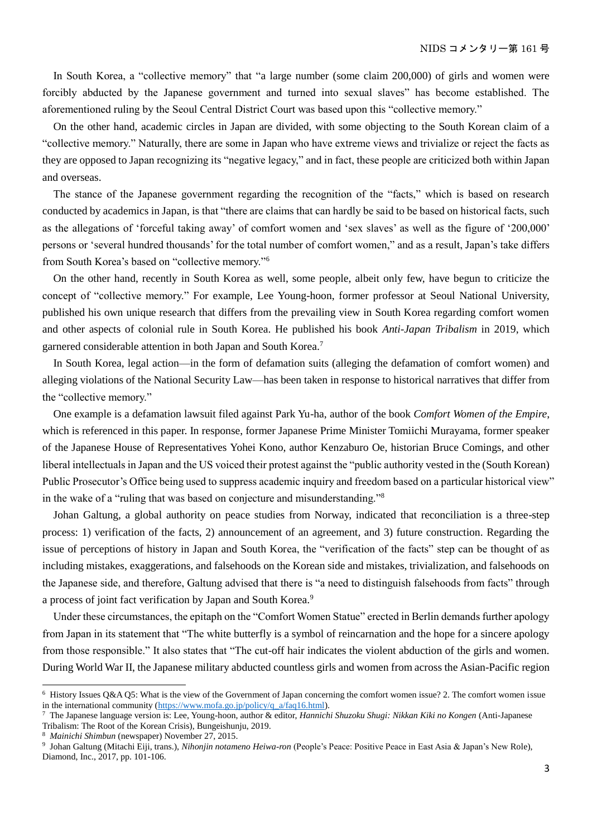In South Korea, a "collective memory" that "a large number (some claim 200,000) of girls and women were forcibly abducted by the Japanese government and turned into sexual slaves" has become established. The aforementioned ruling by the Seoul Central District Court was based upon this "collective memory."

On the other hand, academic circles in Japan are divided, with some objecting to the South Korean claim of a "collective memory." Naturally, there are some in Japan who have extreme views and trivialize or reject the facts as they are opposed to Japan recognizing its "negative legacy," and in fact, these people are criticized both within Japan and overseas.

The stance of the Japanese government regarding the recognition of the "facts," which is based on research conducted by academics in Japan, is that "there are claims that can hardly be said to be based on historical facts, such as the allegations of 'forceful taking away' of comfort women and 'sex slaves' as well as the figure of '200,000' persons or 'several hundred thousands' for the total number of comfort women," and as a result, Japan's take differs from South Korea's based on "collective memory."<sup>6</sup>

On the other hand, recently in South Korea as well, some people, albeit only few, have begun to criticize the concept of "collective memory." For example, Lee Young-hoon, former professor at Seoul National University, published his own unique research that differs from the prevailing view in South Korea regarding comfort women and other aspects of colonial rule in South Korea. He published his book *Anti-Japan Tribalism* in 2019, which garnered considerable attention in both Japan and South Korea.<sup>7</sup>

In South Korea, legal action—in the form of defamation suits (alleging the defamation of comfort women) and alleging violations of the National Security Law—has been taken in response to historical narratives that differ from the "collective memory."

One example is a defamation lawsuit filed against Park Yu-ha, author of the book *Comfort Women of the Empire*, which is referenced in this paper. In response, former Japanese Prime Minister Tomiichi Murayama, former speaker of the Japanese House of Representatives Yohei Kono, author Kenzaburo Oe, historian Bruce Comings, and other liberal intellectuals in Japan and the US voiced their protest against the "public authority vested in the (South Korean) Public Prosecutor's Office being used to suppress academic inquiry and freedom based on a particular historical view" in the wake of a "ruling that was based on conjecture and misunderstanding."<sup>8</sup>

Johan Galtung, a global authority on peace studies from Norway, indicated that reconciliation is a three-step process: 1) verification of the facts, 2) announcement of an agreement, and 3) future construction. Regarding the issue of perceptions of history in Japan and South Korea, the "verification of the facts" step can be thought of as including mistakes, exaggerations, and falsehoods on the Korean side and mistakes, trivialization, and falsehoods on the Japanese side, and therefore, Galtung advised that there is "a need to distinguish falsehoods from facts" through a process of joint fact verification by Japan and South Korea.<sup>9</sup>

Under these circumstances, the epitaph on the "Comfort Women Statue" erected in Berlin demands further apology from Japan in its statement that "The white butterfly is a symbol of reincarnation and the hope for a sincere apology from those responsible." It also states that "The cut-off hair indicates the violent abduction of the girls and women. During World War II, the Japanese military abducted countless girls and women from across the Asian-Pacific region

<sup>6</sup> History Issues Q&A Q5: What is the view of the Government of Japan concerning the comfort women issue? 2. The comfort women issue in the international community [\(https://www.mofa.go.jp/policy/q\\_a/faq16.html\)](https://www.mofa.go.jp/policy/q_a/faq16.html).

<sup>7</sup> The Japanese language version is: Lee, Young-hoon, author & editor, *Hannichi Shuzoku Shugi: Nikkan Kiki no Kongen* (Anti-Japanese Tribalism: The Root of the Korean Crisis), Bungeishunju, 2019.

<sup>8</sup> *Mainichi Shimbun* (newspaper) November 27, 2015.

<sup>9</sup> Johan Galtung (Mitachi Eiji, trans.), *Nihonjin notameno Heiwa-ron* (People's Peace: Positive Peace in East Asia & Japan's New Role), Diamond, Inc., 2017, pp. 101-106.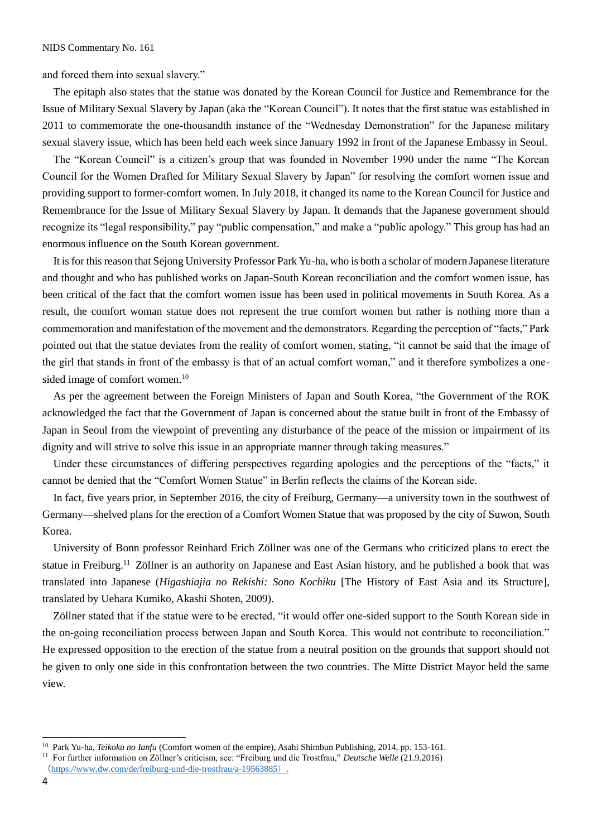and forced them into sexual slavery."

The epitaph also states that the statue was donated by the Korean Council for Justice and Remembrance for the Issue of Military Sexual Slavery by Japan (aka the "Korean Council"). It notes that the first statue was established in 2011 to commemorate the one-thousandth instance of the "Wednesday Demonstration" for the Japanese military sexual slavery issue, which has been held each week since January 1992 in front of the Japanese Embassy in Seoul.

The "Korean Council" is a citizen's group that was founded in November 1990 under the name "The Korean Council for the Women Drafted for Military Sexual Slavery by Japan" for resolving the comfort women issue and providing support to former-comfort women. In July 2018, it changed its name to the Korean Council for Justice and Remembrance for the Issue of Military Sexual Slavery by Japan. It demands that the Japanese government should recognize its "legal responsibility," pay "public compensation," and make a "public apology." This group has had an enormous influence on the South Korean government.

It is for this reason that Sejong University Professor Park Yu-ha, who is both a scholar of modern Japanese literature and thought and who has published works on Japan-South Korean reconciliation and the comfort women issue, has been critical of the fact that the comfort women issue has been used in political movements in South Korea. As a result, the comfort woman statue does not represent the true comfort women but rather is nothing more than a commemoration and manifestation of the movement and the demonstrators. Regarding the perception of "facts," Park pointed out that the statue deviates from the reality of comfort women, stating, "it cannot be said that the image of the girl that stands in front of the embassy is that of an actual comfort woman," and it therefore symbolizes a onesided image of comfort women.<sup>10</sup>

As per the agreement between the Foreign Ministers of Japan and South Korea, "the Government of the ROK acknowledged the fact that the Government of Japan is concerned about the statue built in front of the Embassy of Japan in Seoul from the viewpoint of preventing any disturbance of the peace of the mission or impairment of its dignity and will strive to solve this issue in an appropriate manner through taking measures."

Under these circumstances of differing perspectives regarding apologies and the perceptions of the "facts," it cannot be denied that the "Comfort Women Statue" in Berlin reflects the claims of the Korean side.

In fact, five years prior, in September 2016, the city of Freiburg, Germany—a university town in the southwest of Germany—shelved plans for the erection of a Comfort Women Statue that was proposed by the city of Suwon, South Korea.

University of Bonn professor Reinhard Erich Zöllner was one of the Germans who criticized plans to erect the statue in Freiburg.<sup>11</sup> Zöllner is an authority on Japanese and East Asian history, and he published a book that was translated into Japanese (*Higashiajia no Rekishi: Sono Kochiku* [The History of East Asia and its Structure], translated by Uehara Kumiko, Akashi Shoten, 2009).

Zöllner stated that if the statue were to be erected, "it would offer one-sided support to the South Korean side in the on-going reconciliation process between Japan and South Korea. This would not contribute to reconciliation." He expressed opposition to the erection of the statue from a neutral position on the grounds that support should not be given to only one side in this confrontation between the two countries. The Mitte District Mayor held the same view.

<sup>10</sup> Park Yu-ha, *Teikoku no Ianfu* (Comfort women of the empire), Asahi Shimbun Publishing, 2014, pp. 153-161.

<sup>11</sup> For further information on Zöllner's criticism, see: "Freiburg und die Trostfrau," *Deutsche Welle* (21.9.2016)

<sup>(</sup><https://www.dw.com/de/freiburg-und-die-trostfrau/a-19563885>).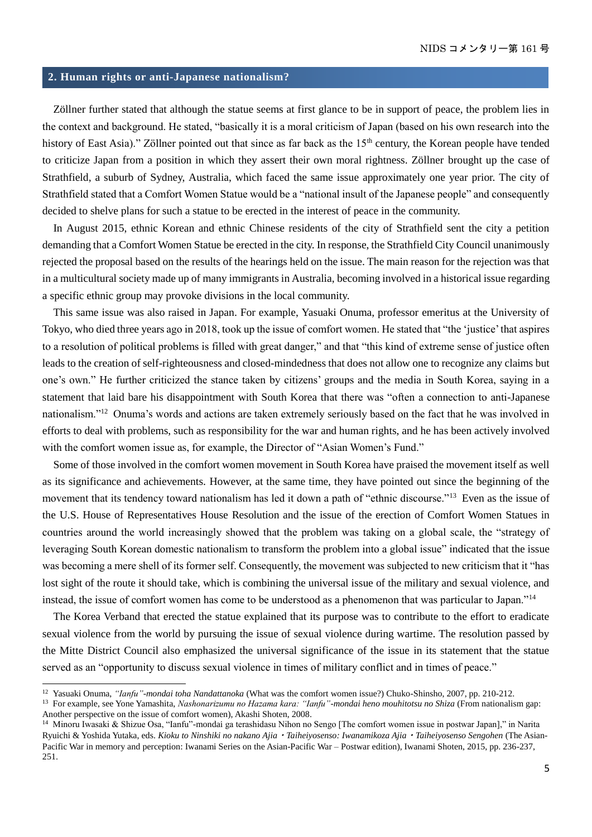### **2. Human rights or anti-Japanese nationalism?**

Zöllner further stated that although the statue seems at first glance to be in support of peace, the problem lies in the context and background. He stated, "basically it is a moral criticism of Japan (based on his own research into the history of East Asia)." Zöllner pointed out that since as far back as the 15<sup>th</sup> century, the Korean people have tended to criticize Japan from a position in which they assert their own moral rightness. Zöllner brought up the case of Strathfield, a suburb of Sydney, Australia, which faced the same issue approximately one year prior. The city of Strathfield stated that a Comfort Women Statue would be a "national insult of the Japanese people" and consequently decided to shelve plans for such a statue to be erected in the interest of peace in the community.

In August 2015, ethnic Korean and ethnic Chinese residents of the city of Strathfield sent the city a petition demanding that a Comfort Women Statue be erected in the city. In response, the Strathfield City Council unanimously rejected the proposal based on the results of the hearings held on the issue. The main reason for the rejection was that in a multicultural society made up of many immigrants in Australia, becoming involved in a historical issue regarding a specific ethnic group may provoke divisions in the local community.

This same issue was also raised in Japan. For example, Yasuaki Onuma, professor emeritus at the University of Tokyo, who died three years ago in 2018, took up the issue of comfort women. He stated that "the 'justice' that aspires to a resolution of political problems is filled with great danger," and that "this kind of extreme sense of justice often leads to the creation of self-righteousness and closed-mindedness that does not allow one to recognize any claims but one's own." He further criticized the stance taken by citizens' groups and the media in South Korea, saying in a statement that laid bare his disappointment with South Korea that there was "often a connection to anti-Japanese nationalism."<sup>12</sup> Onuma's words and actions are taken extremely seriously based on the fact that he was involved in efforts to deal with problems, such as responsibility for the war and human rights, and he has been actively involved with the comfort women issue as, for example, the Director of "Asian Women's Fund."

Some of those involved in the comfort women movement in South Korea have praised the movement itself as well as its significance and achievements. However, at the same time, they have pointed out since the beginning of the movement that its tendency toward nationalism has led it down a path of "ethnic discourse."<sup>13</sup> Even as the issue of the U.S. House of Representatives House Resolution and the issue of the erection of Comfort Women Statues in countries around the world increasingly showed that the problem was taking on a global scale, the "strategy of leveraging South Korean domestic nationalism to transform the problem into a global issue" indicated that the issue was becoming a mere shell of its former self. Consequently, the movement was subjected to new criticism that it "has lost sight of the route it should take, which is combining the universal issue of the military and sexual violence, and instead, the issue of comfort women has come to be understood as a phenomenon that was particular to Japan."<sup>14</sup>

The Korea Verband that erected the statue explained that its purpose was to contribute to the effort to eradicate sexual violence from the world by pursuing the issue of sexual violence during wartime. The resolution passed by the Mitte District Council also emphasized the universal significance of the issue in its statement that the statue served as an "opportunity to discuss sexual violence in times of military conflict and in times of peace."

<sup>12</sup> Yasuaki Onuma, *"Ianfu"-mondai toha Nandattanoka* (What was the comfort women issue?) Chuko-Shinsho, 2007, pp. 210-212.

<sup>13</sup> For example, see Yone Yamashita, *Nashonarizumu no Hazama kara: "Ianfu"-mondai heno mouhitotsu no Shiza* (From nationalism gap: Another perspective on the issue of comfort women), Akashi Shoten, 2008.

<sup>&</sup>lt;sup>14</sup> Minoru Iwasaki & Shizue Osa, "Ianfu"-mondai ga terashidasu Nihon no Sengo [The comfort women issue in postwar Japan]," in Narita Ryuichi & Yoshida Yutaka, eds. *Kioku to Ninshiki no nakano Ajia*・*Taiheiyosenso: Iwanamikoza Ajia*・*Taiheiyosenso Sengohen* (The Asian-Pacific War in memory and perception: Iwanami Series on the Asian-Pacific War – Postwar edition), Iwanami Shoten, 2015, pp. 236-237, 251.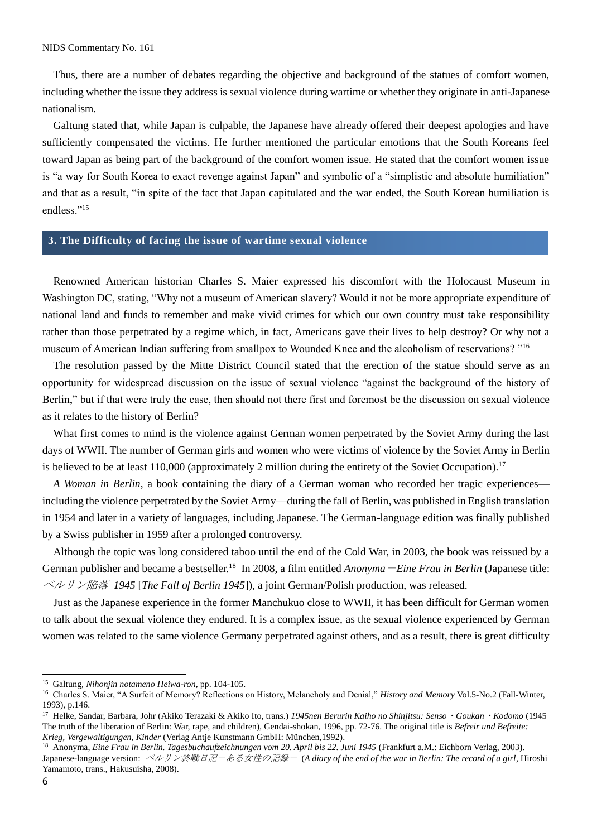Thus, there are a number of debates regarding the objective and background of the statues of comfort women, including whether the issue they address is sexual violence during wartime or whether they originate in anti-Japanese nationalism.

Galtung stated that, while Japan is culpable, the Japanese have already offered their deepest apologies and have sufficiently compensated the victims. He further mentioned the particular emotions that the South Koreans feel toward Japan as being part of the background of the comfort women issue. He stated that the comfort women issue is "a way for South Korea to exact revenge against Japan" and symbolic of a "simplistic and absolute humiliation" and that as a result, "in spite of the fact that Japan capitulated and the war ended, the South Korean humiliation is endless."<sup>15</sup>

#### **3. The Difficulty of facing the issue of wartime sexual violence**

Renowned American historian Charles S. Maier expressed his discomfort with the Holocaust Museum in Washington DC, stating, "Why not a museum of American slavery? Would it not be more appropriate expenditure of national land and funds to remember and make vivid crimes for which our own country must take responsibility rather than those perpetrated by a regime which, in fact, Americans gave their lives to help destroy? Or why not a museum of American Indian suffering from smallpox to Wounded Knee and the alcoholism of reservations? "<sup>16</sup>

The resolution passed by the Mitte District Council stated that the erection of the statue should serve as an opportunity for widespread discussion on the issue of sexual violence "against the background of the history of Berlin," but if that were truly the case, then should not there first and foremost be the discussion on sexual violence as it relates to the history of Berlin?

What first comes to mind is the violence against German women perpetrated by the Soviet Army during the last days of WWII. The number of German girls and women who were victims of violence by the Soviet Army in Berlin is believed to be at least  $110,000$  (approximately 2 million during the entirety of the Soviet Occupation).<sup>17</sup>

*A Woman in Berlin*, a book containing the diary of a German woman who recorded her tragic experiences including the violence perpetrated by the Soviet Army—during the fall of Berlin, was published in English translation in 1954 and later in a variety of languages, including Japanese. The German-language edition was finally published by a Swiss publisher in 1959 after a prolonged controversy.

Although the topic was long considered taboo until the end of the Cold War, in 2003, the book was reissued by a German publisher and became a bestseller.<sup>18</sup> In 2008, a film entitled *Anonyma*-*Eine Frau in Berlin* (Japanese title: ベルリン陥落 *1945* [*The Fall of Berlin 1945*]), a joint German/Polish production, was released.

Just as the Japanese experience in the former Manchukuo close to WWII, it has been difficult for German women to talk about the sexual violence they endured. It is a complex issue, as the sexual violence experienced by German women was related to the same violence Germany perpetrated against others, and as a result, there is great difficulty

<sup>15</sup> Galtung, *Nihonjin notameno Heiwa-ron*, pp. 104-105.

<sup>16</sup> Charles S. Maier, "A Surfeit of Memory? Reflections on History, Melancholy and Denial," *History and Memory* Vol.5-No.2 (Fall-Winter, 1993), p.146.

<sup>17</sup> Helke, Sandar, Barbara, Johr (Akiko Terazaki & Akiko Ito, trans.) *1945nen Berurin Kaiho no Shinjitsu: Senso*・*Goukan*・*Kodomo* (1945 The truth of the liberation of Berlin: War, rape, and children), Gendai-shokan, 1996, pp. 72-76. The original title is *Befreir und Befreite: Krieg, Vergewaltigungen, Kinder* (Verlag Antje Kunstmann GmbH: München,1992).

<sup>18</sup> Anonyma, *Eine Frau in Berlin. Tagesbuchaufzeichnungen vom 20. April bis 22. Juni 1945* (Frankfurt a.M.: Eichborn Verlag, 2003). Japanese-language version: ベルリン終戦日記-ある女性の記録- (*A diary of the end of the war in Berlin: The record of a girl*, Hiroshi Yamamoto, trans., Hakusuisha, 2008).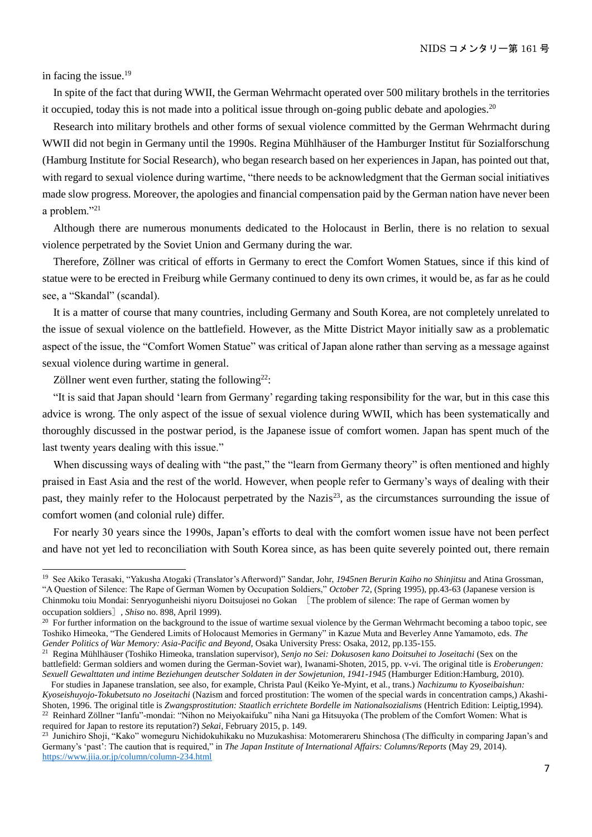in facing the issue.<sup>19</sup>

 $\overline{a}$ 

In spite of the fact that during WWII, the German Wehrmacht operated over 500 military brothels in the territories it occupied, today this is not made into a political issue through on-going public debate and apologies.<sup>20</sup>

Research into military brothels and other forms of sexual violence committed by the German Wehrmacht during WWII did not begin in Germany until the 1990s. Regina Mühlhäuser of the Hamburger Institut für Sozialforschung (Hamburg Institute for Social Research), who began research based on her experiences in Japan, has pointed out that, with regard to sexual violence during wartime, "there needs to be acknowledgment that the German social initiatives made slow progress. Moreover, the apologies and financial compensation paid by the German nation have never been a problem."<sup>21</sup>

Although there are numerous monuments dedicated to the Holocaust in Berlin, there is no relation to sexual violence perpetrated by the Soviet Union and Germany during the war.

Therefore, Zöllner was critical of efforts in Germany to erect the Comfort Women Statues, since if this kind of statue were to be erected in Freiburg while Germany continued to deny its own crimes, it would be, as far as he could see, a "Skandal" (scandal).

It is a matter of course that many countries, including Germany and South Korea, are not completely unrelated to the issue of sexual violence on the battlefield. However, as the Mitte District Mayor initially saw as a problematic aspect of the issue, the "Comfort Women Statue" was critical of Japan alone rather than serving as a message against sexual violence during wartime in general.

Zöllner went even further, stating the following<sup>22</sup>:

"It is said that Japan should 'learn from Germany' regarding taking responsibility for the war, but in this case this advice is wrong. The only aspect of the issue of sexual violence during WWII, which has been systematically and thoroughly discussed in the postwar period, is the Japanese issue of comfort women. Japan has spent much of the last twenty years dealing with this issue."

When discussing ways of dealing with "the past," the "learn from Germany theory" is often mentioned and highly praised in East Asia and the rest of the world. However, when people refer to Germany's ways of dealing with their past, they mainly refer to the Holocaust perpetrated by the Nazis<sup>23</sup>, as the circumstances surrounding the issue of comfort women (and colonial rule) differ.

For nearly 30 years since the 1990s, Japan's efforts to deal with the comfort women issue have not been perfect and have not yet led to reconciliation with South Korea since, as has been quite severely pointed out, there remain

<sup>19</sup> See Akiko Terasaki, "Yakusha Atogaki (Translator's Afterword)" Sandar, Johr, *1945nen Berurin Kaiho no Shinjitsu* and Atina Grossman, "A Question of Silence: The Rape of German Women by Occupation Soldiers," *October 72*, (Spring 1995), pp.43-63 (Japanese version is Chinmoku toiu Mondai: Senryogunheishi niyoru Doitsujosei no Gokan [The problem of silence: The rape of German women by occupation soldiers], *Shiso* no. 898, April 1999).

<sup>&</sup>lt;sup>20</sup> For further information on the background to the issue of wartime sexual violence by the German Wehrmacht becoming a taboo topic, see Toshiko Himeoka, "The Gendered Limits of Holocaust Memories in Germany" in Kazue Muta and Beverley Anne Yamamoto, eds. *The Gender Politics of War Memory: Asia-Pacific and Beyond*, Osaka University Press: Osaka, 2012, pp.135-155.

<sup>21</sup> Regina Mühlhäuser (Toshiko Himeoka, translation supervisor), *Senjo no Sei: Dokusosen kano Doitsuhei to Joseitachi* (Sex on the battlefield: German soldiers and women during the German-Soviet war), Iwanami-Shoten, 2015, pp. v-vi. The original title is *Eroberungen: Sexuell Gewalttaten und intime Beziehungen deutscher Soldaten in der Sowjetunion, 1941-1945* (Hamburger Edition:Hamburg, 2010).

For studies in Japanese translation, see also, for example, Christa Paul (Keiko Ye-Myint, et al., trans.) *Nachizumu to Kyoseibaishun: Kyoseishuyojo-Tokubetsuto no Joseitachi* (Nazism and forced prostitution: The women of the special wards in concentration camps,) Akashi-Shoten, 1996. The original title is *Zwangsprostitution: Staatlich errichtete Bordelle im Nationalsozialisms* (Hentrich Edition: Leiptig,1994). <sup>22</sup> Reinhard Zöllner "Ianfu"-mondai: "Nihon no Meiyokaifuku" niha Nani ga Hitsuyoka (The problem of the Comfort Women: What is required for Japan to restore its reputation?) *Sekai*, February 2015, p. 149.

<sup>&</sup>lt;sup>23</sup> Junichiro Shoji, "Kako" womeguru Nichidokuhikaku no Muzukashisa: Motomerareru Shinchosa (The difficulty in comparing Japan's and Germany's 'past': The caution that is required," in *The Japan Institute of International Affairs: Columns/Reports* (May 29, 2014). <https://www.jiia.or.jp/column/column-234.html>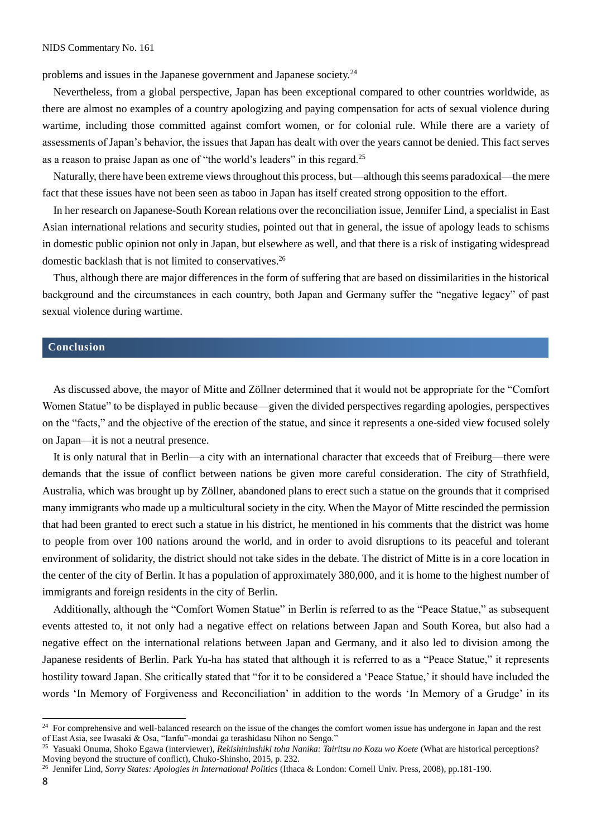problems and issues in the Japanese government and Japanese society.<sup>24</sup>

Nevertheless, from a global perspective, Japan has been exceptional compared to other countries worldwide, as there are almost no examples of a country apologizing and paying compensation for acts of sexual violence during wartime, including those committed against comfort women, or for colonial rule. While there are a variety of assessments of Japan's behavior, the issues that Japan has dealt with over the years cannot be denied. This fact serves as a reason to praise Japan as one of "the world's leaders" in this regard.<sup>25</sup>

Naturally, there have been extreme views throughout this process, but—although this seems paradoxical—the mere fact that these issues have not been seen as taboo in Japan has itself created strong opposition to the effort.

In her research on Japanese-South Korean relations over the reconciliation issue, Jennifer Lind, a specialist in East Asian international relations and security studies, pointed out that in general, the issue of apology leads to schisms in domestic public opinion not only in Japan, but elsewhere as well, and that there is a risk of instigating widespread domestic backlash that is not limited to conservatives.<sup>26</sup>

Thus, although there are major differences in the form of suffering that are based on dissimilarities in the historical background and the circumstances in each country, both Japan and Germany suffer the "negative legacy" of past sexual violence during wartime.

#### **Conclusion**

As discussed above, the mayor of Mitte and Zöllner determined that it would not be appropriate for the "Comfort Women Statue" to be displayed in public because—given the divided perspectives regarding apologies, perspectives on the "facts," and the objective of the erection of the statue, and since it represents a one-sided view focused solely on Japan—it is not a neutral presence.

It is only natural that in Berlin—a city with an international character that exceeds that of Freiburg—there were demands that the issue of conflict between nations be given more careful consideration. The city of Strathfield, Australia, which was brought up by Zöllner, abandoned plans to erect such a statue on the grounds that it comprised many immigrants who made up a multicultural society in the city. When the Mayor of Mitte rescinded the permission that had been granted to erect such a statue in his district, he mentioned in his comments that the district was home to people from over 100 nations around the world, and in order to avoid disruptions to its peaceful and tolerant environment of solidarity, the district should not take sides in the debate. The district of Mitte is in a core location in the center of the city of Berlin. It has a population of approximately 380,000, and it is home to the highest number of immigrants and foreign residents in the city of Berlin.

Additionally, although the "Comfort Women Statue" in Berlin is referred to as the "Peace Statue," as subsequent events attested to, it not only had a negative effect on relations between Japan and South Korea, but also had a negative effect on the international relations between Japan and Germany, and it also led to division among the Japanese residents of Berlin. Park Yu-ha has stated that although it is referred to as a "Peace Statue," it represents hostility toward Japan. She critically stated that "for it to be considered a 'Peace Statue,' it should have included the words 'In Memory of Forgiveness and Reconciliation' in addition to the words 'In Memory of a Grudge' in its

<sup>&</sup>lt;sup>24</sup> For comprehensive and well-balanced research on the issue of the changes the comfort women issue has undergone in Japan and the rest of East Asia, see Iwasaki & Osa, "Ianfu"-mondai ga terashidasu Nihon no Sengo."

<sup>25</sup> Yasuaki Onuma, Shoko Egawa (interviewer), *Rekishininshiki toha Nanika: Tairitsu no Kozu wo Koete* (What are historical perceptions? Moving beyond the structure of conflict), Chuko-Shinsho, 2015, p. 232.

<sup>26</sup> Jennifer Lind, *Sorry States: Apologies in International Politics* (Ithaca & London: Cornell Univ. Press, 2008), pp.181-190.